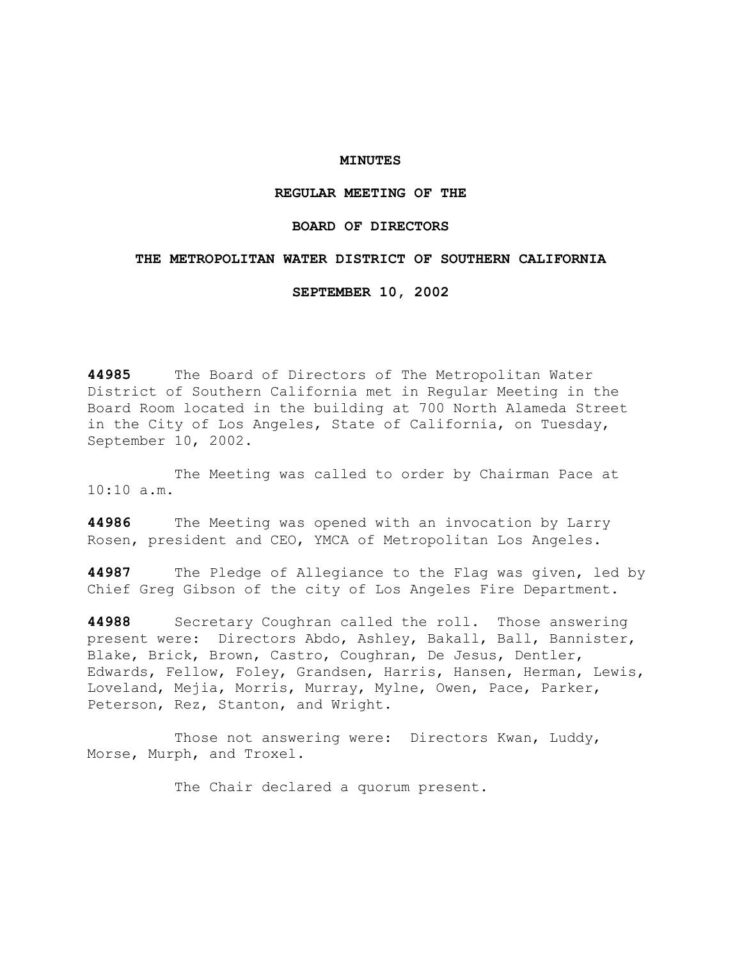### **MINUTES**

# **REGULAR MEETING OF THE**

## **BOARD OF DIRECTORS**

### **THE METROPOLITAN WATER DISTRICT OF SOUTHERN CALIFORNIA**

**SEPTEMBER 10, 2002** 

**44985** The Board of Directors of The Metropolitan Water District of Southern California met in Regular Meeting in the Board Room located in the building at 700 North Alameda Street in the City of Los Angeles, State of California, on Tuesday, September 10, 2002.

 The Meeting was called to order by Chairman Pace at  $10:10 a.m.$ 

**44986** The Meeting was opened with an invocation by Larry Rosen, president and CEO, YMCA of Metropolitan Los Angeles.

**44987** The Pledge of Allegiance to the Flag was given, led by Chief Greg Gibson of the city of Los Angeles Fire Department.

**44988** Secretary Coughran called the roll. Those answering present were: Directors Abdo, Ashley, Bakall, Ball, Bannister, Blake, Brick, Brown, Castro, Coughran, De Jesus, Dentler, Edwards, Fellow, Foley, Grandsen, Harris, Hansen, Herman, Lewis, Loveland, Mejia, Morris, Murray, Mylne, Owen, Pace, Parker, Peterson, Rez, Stanton, and Wright.

 Those not answering were: Directors Kwan, Luddy, Morse, Murph, and Troxel.

The Chair declared a quorum present.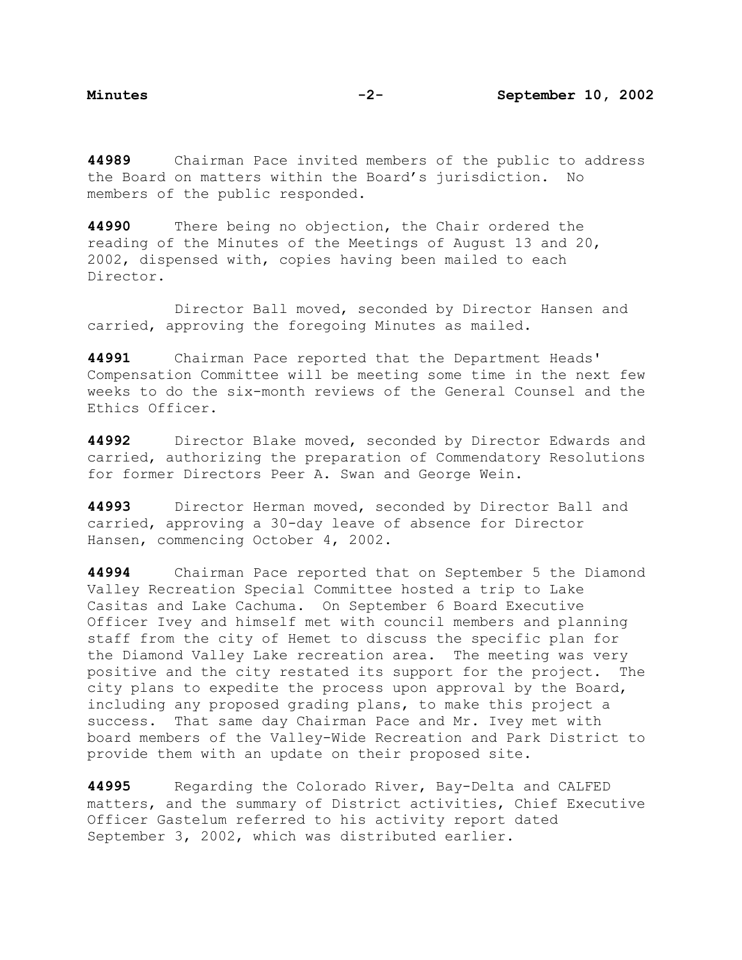**44989** Chairman Pace invited members of the public to address the Board on matters within the Board's jurisdiction. No members of the public responded.

**44990** There being no objection, the Chair ordered the reading of the Minutes of the Meetings of August 13 and 20, 2002, dispensed with, copies having been mailed to each Director.

 Director Ball moved, seconded by Director Hansen and carried, approving the foregoing Minutes as mailed.

**44991** Chairman Pace reported that the Department Heads' Compensation Committee will be meeting some time in the next few weeks to do the six-month reviews of the General Counsel and the Ethics Officer.

**44992** Director Blake moved, seconded by Director Edwards and carried, authorizing the preparation of Commendatory Resolutions for former Directors Peer A. Swan and George Wein.

**44993** Director Herman moved, seconded by Director Ball and carried, approving a 30-day leave of absence for Director Hansen, commencing October 4, 2002.

**44994** Chairman Pace reported that on September 5 the Diamond Valley Recreation Special Committee hosted a trip to Lake Casitas and Lake Cachuma. On September 6 Board Executive Officer Ivey and himself met with council members and planning staff from the city of Hemet to discuss the specific plan for the Diamond Valley Lake recreation area. The meeting was very positive and the city restated its support for the project. The city plans to expedite the process upon approval by the Board, including any proposed grading plans, to make this project a success. That same day Chairman Pace and Mr. Ivey met with board members of the Valley-Wide Recreation and Park District to provide them with an update on their proposed site.

**44995** Regarding the Colorado River, Bay-Delta and CALFED matters, and the summary of District activities, Chief Executive Officer Gastelum referred to his activity report dated September 3, 2002, which was distributed earlier.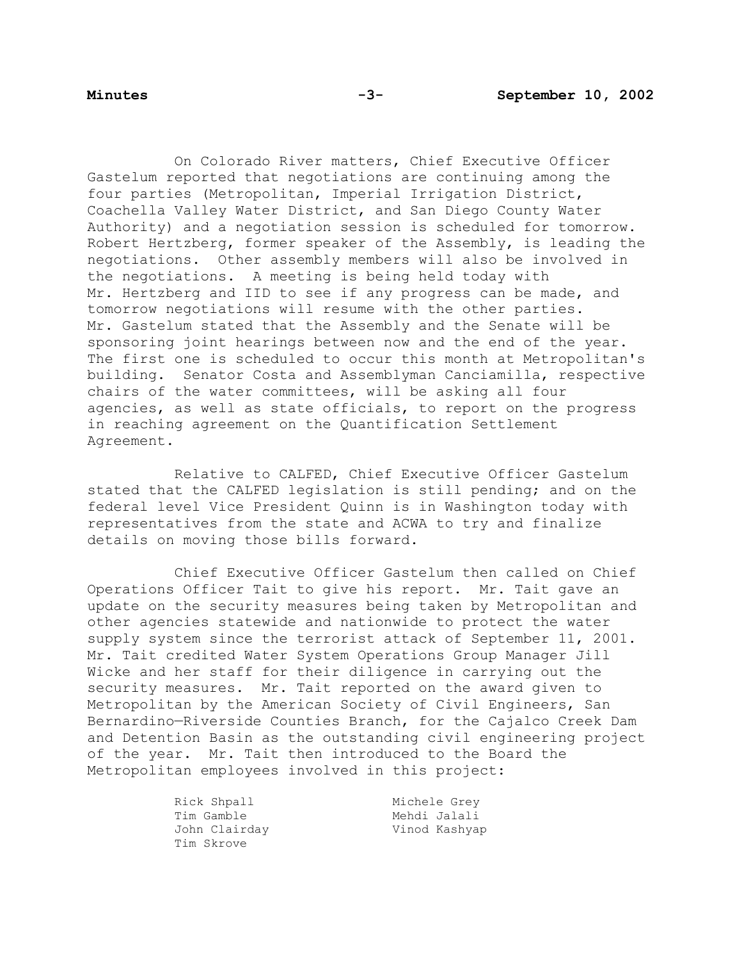On Colorado River matters, Chief Executive Officer Gastelum reported that negotiations are continuing among the four parties (Metropolitan, Imperial Irrigation District, Coachella Valley Water District, and San Diego County Water Authority) and a negotiation session is scheduled for tomorrow. Robert Hertzberg, former speaker of the Assembly, is leading the negotiations. Other assembly members will also be involved in the negotiations. A meeting is being held today with Mr. Hertzberg and IID to see if any progress can be made, and tomorrow negotiations will resume with the other parties. Mr. Gastelum stated that the Assembly and the Senate will be sponsoring joint hearings between now and the end of the year. The first one is scheduled to occur this month at Metropolitan's building. Senator Costa and Assemblyman Canciamilla, respective chairs of the water committees, will be asking all four agencies, as well as state officials, to report on the progress in reaching agreement on the Quantification Settlement Agreement.

 Relative to CALFED, Chief Executive Officer Gastelum stated that the CALFED legislation is still pending; and on the federal level Vice President Quinn is in Washington today with representatives from the state and ACWA to try and finalize details on moving those bills forward.

 Chief Executive Officer Gastelum then called on Chief Operations Officer Tait to give his report. Mr. Tait gave an update on the security measures being taken by Metropolitan and other agencies statewide and nationwide to protect the water supply system since the terrorist attack of September 11, 2001. Mr. Tait credited Water System Operations Group Manager Jill Wicke and her staff for their diligence in carrying out the security measures. Mr. Tait reported on the award given to Metropolitan by the American Society of Civil Engineers, San Bernardino—Riverside Counties Branch, for the Cajalco Creek Dam and Detention Basin as the outstanding civil engineering project of the year. Mr. Tait then introduced to the Board the Metropolitan employees involved in this project:

| Rick Shpall   | Michele Grey  |
|---------------|---------------|
| Tim Gamble    | Mehdi Jalali  |
| John Clairday | Vinod Kashyap |
| Tim Skrove    |               |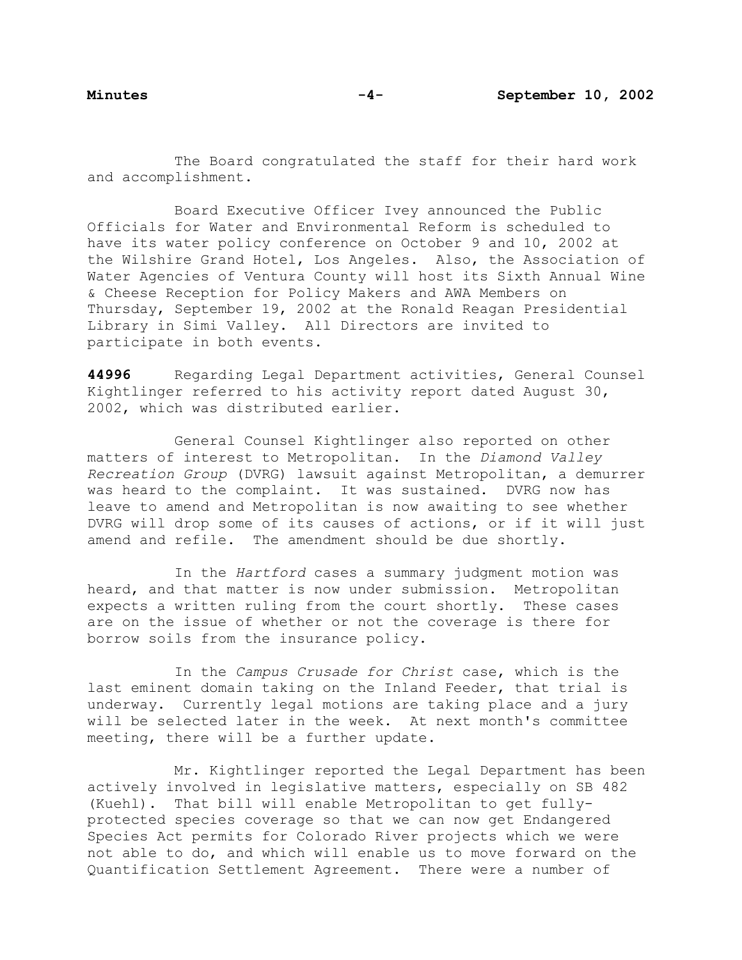The Board congratulated the staff for their hard work and accomplishment.

 Board Executive Officer Ivey announced the Public Officials for Water and Environmental Reform is scheduled to have its water policy conference on October 9 and 10, 2002 at the Wilshire Grand Hotel, Los Angeles. Also, the Association of Water Agencies of Ventura County will host its Sixth Annual Wine & Cheese Reception for Policy Makers and AWA Members on Thursday, September 19, 2002 at the Ronald Reagan Presidential Library in Simi Valley. All Directors are invited to participate in both events.

**44996** Regarding Legal Department activities, General Counsel Kightlinger referred to his activity report dated August 30, 2002, which was distributed earlier.

 General Counsel Kightlinger also reported on other matters of interest to Metropolitan. In the *Diamond Valley Recreation Group* (DVRG) lawsuit against Metropolitan, a demurrer was heard to the complaint. It was sustained. DVRG now has leave to amend and Metropolitan is now awaiting to see whether DVRG will drop some of its causes of actions, or if it will just amend and refile. The amendment should be due shortly.

 In the *Hartford* cases a summary judgment motion was heard, and that matter is now under submission. Metropolitan expects a written ruling from the court shortly. These cases are on the issue of whether or not the coverage is there for borrow soils from the insurance policy.

 In the *Campus Crusade for Christ* case, which is the last eminent domain taking on the Inland Feeder, that trial is underway. Currently legal motions are taking place and a jury will be selected later in the week. At next month's committee meeting, there will be a further update.

 Mr. Kightlinger reported the Legal Department has been actively involved in legislative matters, especially on SB 482 (Kuehl). That bill will enable Metropolitan to get fullyprotected species coverage so that we can now get Endangered Species Act permits for Colorado River projects which we were not able to do, and which will enable us to move forward on the Quantification Settlement Agreement. There were a number of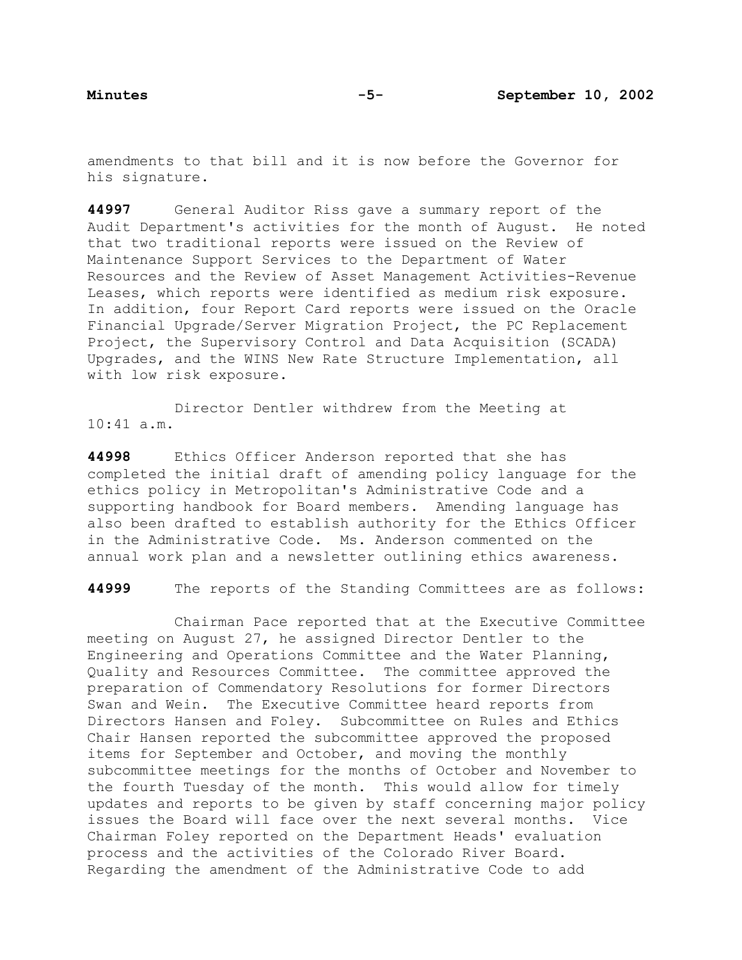amendments to that bill and it is now before the Governor for his signature.

**44997** General Auditor Riss gave a summary report of the Audit Department's activities for the month of August. He noted that two traditional reports were issued on the Review of Maintenance Support Services to the Department of Water Resources and the Review of Asset Management Activities-Revenue Leases, which reports were identified as medium risk exposure. In addition, four Report Card reports were issued on the Oracle Financial Upgrade/Server Migration Project, the PC Replacement Project, the Supervisory Control and Data Acquisition (SCADA) Upgrades, and the WINS New Rate Structure Implementation, all with low risk exposure.

 Director Dentler withdrew from the Meeting at 10:41 a.m.

**44998** Ethics Officer Anderson reported that she has completed the initial draft of amending policy language for the ethics policy in Metropolitan's Administrative Code and a supporting handbook for Board members. Amending language has also been drafted to establish authority for the Ethics Officer in the Administrative Code. Ms. Anderson commented on the annual work plan and a newsletter outlining ethics awareness.

**44999** The reports of the Standing Committees are as follows:

Chairman Pace reported that at the Executive Committee meeting on August 27, he assigned Director Dentler to the Engineering and Operations Committee and the Water Planning, Quality and Resources Committee. The committee approved the preparation of Commendatory Resolutions for former Directors Swan and Wein. The Executive Committee heard reports from Directors Hansen and Foley. Subcommittee on Rules and Ethics Chair Hansen reported the subcommittee approved the proposed items for September and October, and moving the monthly subcommittee meetings for the months of October and November to the fourth Tuesday of the month. This would allow for timely updates and reports to be given by staff concerning major policy issues the Board will face over the next several months. Vice Chairman Foley reported on the Department Heads' evaluation process and the activities of the Colorado River Board. Regarding the amendment of the Administrative Code to add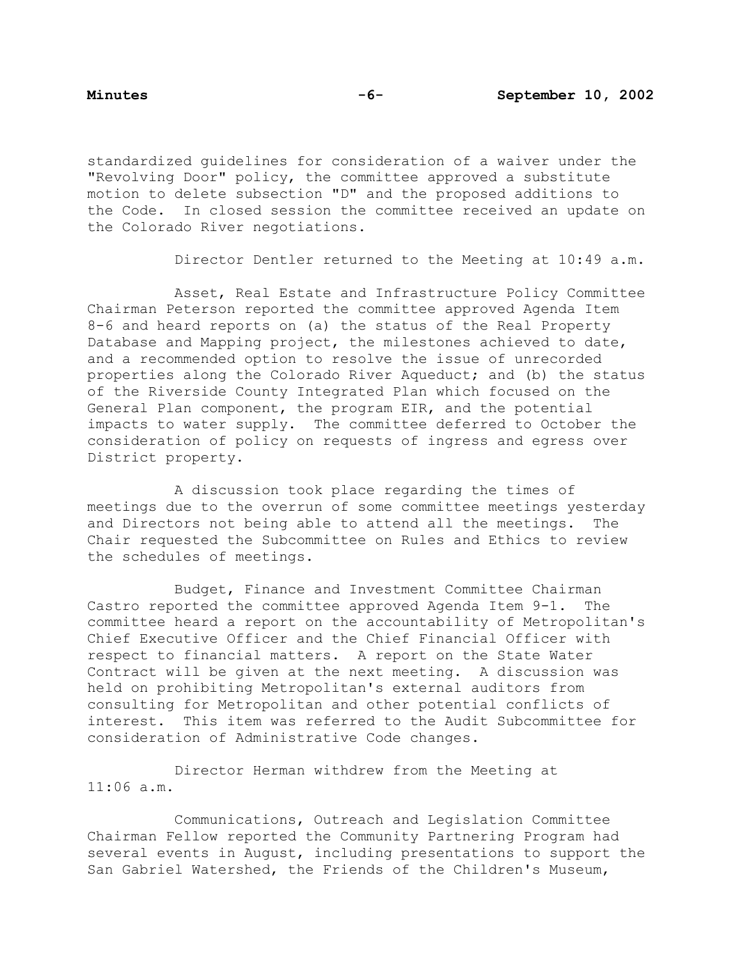standardized guidelines for consideration of a waiver under the "Revolving Door" policy, the committee approved a substitute motion to delete subsection "D" and the proposed additions to the Code. In closed session the committee received an update on the Colorado River negotiations.

Director Dentler returned to the Meeting at 10:49 a.m.

 Asset, Real Estate and Infrastructure Policy Committee Chairman Peterson reported the committee approved Agenda Item 8-6 and heard reports on (a) the status of the Real Property Database and Mapping project, the milestones achieved to date, and a recommended option to resolve the issue of unrecorded properties along the Colorado River Aqueduct; and (b) the status of the Riverside County Integrated Plan which focused on the General Plan component, the program EIR, and the potential impacts to water supply. The committee deferred to October the consideration of policy on requests of ingress and egress over District property.

 A discussion took place regarding the times of meetings due to the overrun of some committee meetings yesterday and Directors not being able to attend all the meetings. The Chair requested the Subcommittee on Rules and Ethics to review the schedules of meetings.

 Budget, Finance and Investment Committee Chairman Castro reported the committee approved Agenda Item 9-1. The committee heard a report on the accountability of Metropolitan's Chief Executive Officer and the Chief Financial Officer with respect to financial matters. A report on the State Water Contract will be given at the next meeting. A discussion was held on prohibiting Metropolitan's external auditors from consulting for Metropolitan and other potential conflicts of interest. This item was referred to the Audit Subcommittee for consideration of Administrative Code changes.

 Director Herman withdrew from the Meeting at 11:06 a.m.

 Communications, Outreach and Legislation Committee Chairman Fellow reported the Community Partnering Program had several events in August, including presentations to support the San Gabriel Watershed, the Friends of the Children's Museum,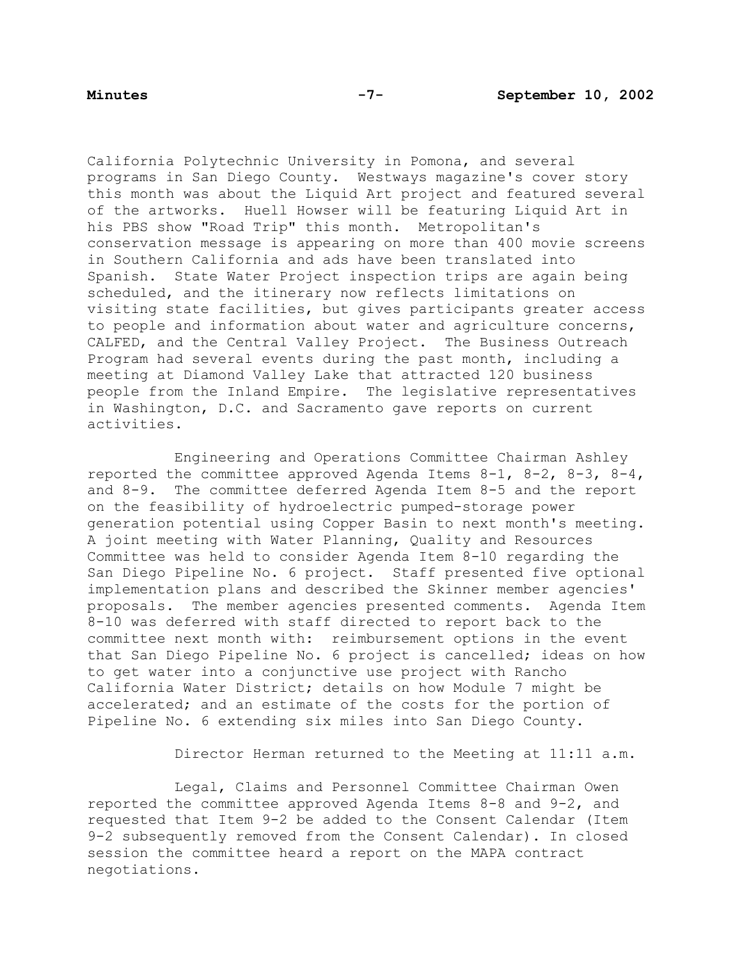California Polytechnic University in Pomona, and several programs in San Diego County. Westways magazine's cover story this month was about the Liquid Art project and featured several of the artworks. Huell Howser will be featuring Liquid Art in his PBS show "Road Trip" this month. Metropolitan's conservation message is appearing on more than 400 movie screens in Southern California and ads have been translated into Spanish. State Water Project inspection trips are again being scheduled, and the itinerary now reflects limitations on visiting state facilities, but gives participants greater access to people and information about water and agriculture concerns, CALFED, and the Central Valley Project. The Business Outreach Program had several events during the past month, including a meeting at Diamond Valley Lake that attracted 120 business people from the Inland Empire. The legislative representatives in Washington, D.C. and Sacramento gave reports on current activities.

 Engineering and Operations Committee Chairman Ashley reported the committee approved Agenda Items 8-1, 8-2, 8-3, 8-4, and 8-9. The committee deferred Agenda Item 8-5 and the report on the feasibility of hydroelectric pumped-storage power generation potential using Copper Basin to next month's meeting. A joint meeting with Water Planning, Quality and Resources Committee was held to consider Agenda Item 8-10 regarding the San Diego Pipeline No. 6 project. Staff presented five optional implementation plans and described the Skinner member agencies' proposals. The member agencies presented comments. Agenda Item 8-10 was deferred with staff directed to report back to the committee next month with: reimbursement options in the event that San Diego Pipeline No. 6 project is cancelled; ideas on how to get water into a conjunctive use project with Rancho California Water District; details on how Module 7 might be accelerated; and an estimate of the costs for the portion of Pipeline No. 6 extending six miles into San Diego County.

Director Herman returned to the Meeting at 11:11 a.m.

 Legal, Claims and Personnel Committee Chairman Owen reported the committee approved Agenda Items 8-8 and 9-2, and requested that Item 9-2 be added to the Consent Calendar (Item 9-2 subsequently removed from the Consent Calendar). In closed session the committee heard a report on the MAPA contract negotiations.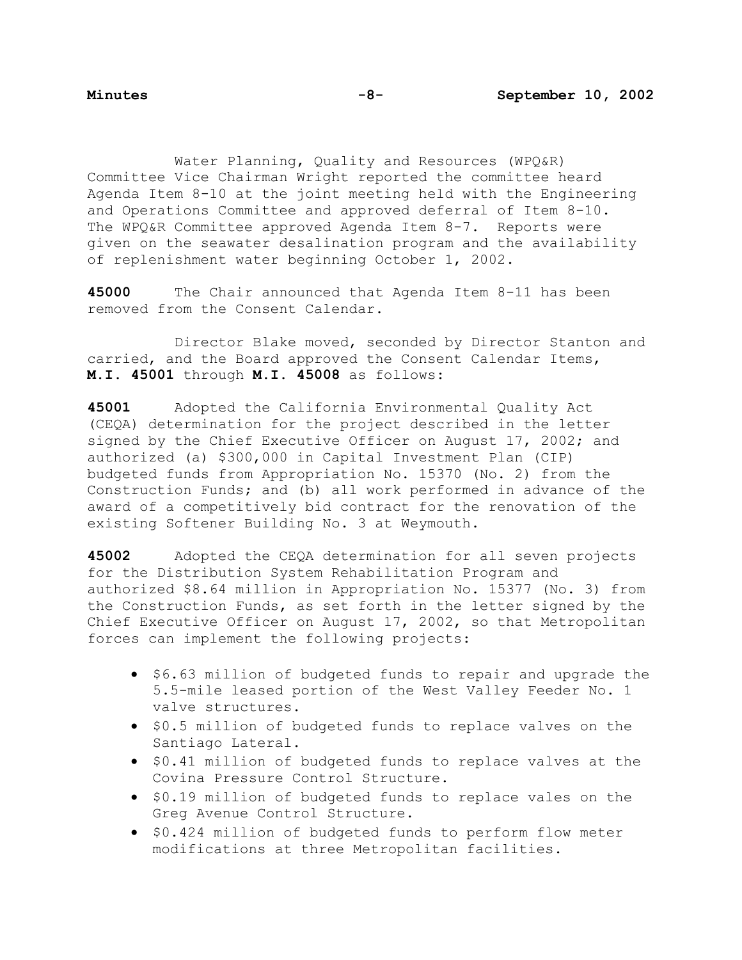Water Planning, Quality and Resources (WPQ&R) Committee Vice Chairman Wright reported the committee heard Agenda Item 8-10 at the joint meeting held with the Engineering and Operations Committee and approved deferral of Item 8-10. The WPQ&R Committee approved Agenda Item 8-7. Reports were given on the seawater desalination program and the availability of replenishment water beginning October 1, 2002.

**45000** The Chair announced that Agenda Item 8-11 has been removed from the Consent Calendar.

 Director Blake moved, seconded by Director Stanton and carried, and the Board approved the Consent Calendar Items, **M.I. 45001** through **M.I. 45008** as follows:

**45001** Adopted the California Environmental Quality Act (CEQA) determination for the project described in the letter signed by the Chief Executive Officer on August 17, 2002; and authorized (a) \$300,000 in Capital Investment Plan (CIP) budgeted funds from Appropriation No. 15370 (No. 2) from the Construction Funds; and (b) all work performed in advance of the award of a competitively bid contract for the renovation of the existing Softener Building No. 3 at Weymouth.

**45002** Adopted the CEQA determination for all seven projects for the Distribution System Rehabilitation Program and authorized \$8.64 million in Appropriation No. 15377 (No. 3) from the Construction Funds, as set forth in the letter signed by the Chief Executive Officer on August 17, 2002, so that Metropolitan forces can implement the following projects:

- \$6.63 million of budgeted funds to repair and upgrade the 5.5-mile leased portion of the West Valley Feeder No. 1 valve structures.
- \$0.5 million of budgeted funds to replace valves on the Santiago Lateral.
- \$0.41 million of budgeted funds to replace valves at the Covina Pressure Control Structure.
- \$0.19 million of budgeted funds to replace vales on the Greg Avenue Control Structure.
- \$0.424 million of budgeted funds to perform flow meter modifications at three Metropolitan facilities.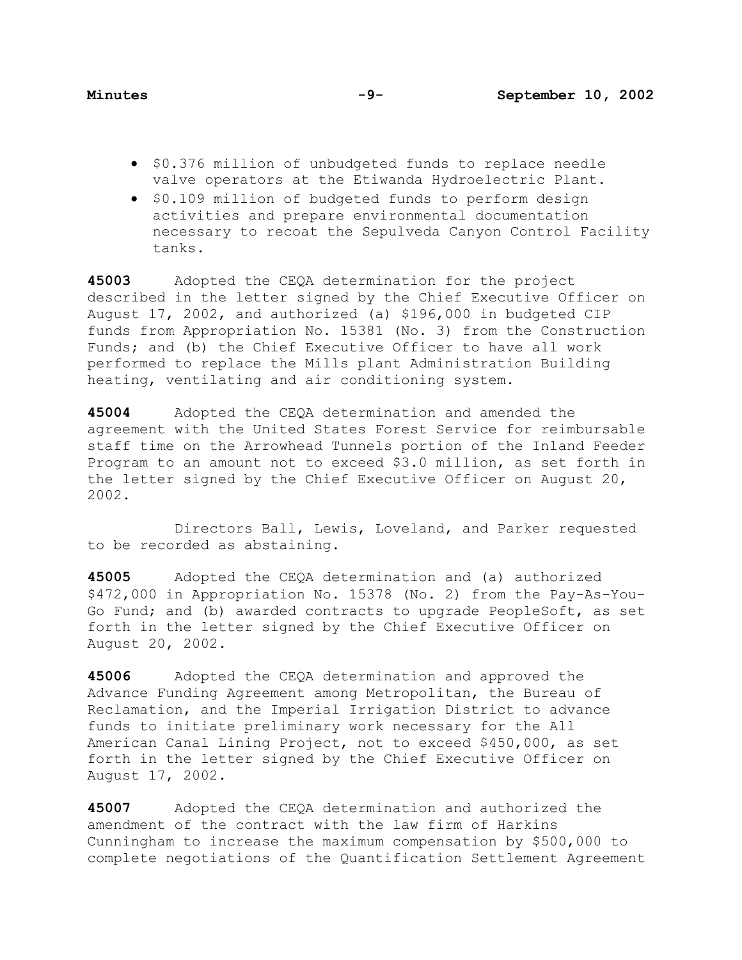- \$0.376 million of unbudgeted funds to replace needle valve operators at the Etiwanda Hydroelectric Plant.
- \$0.109 million of budgeted funds to perform design activities and prepare environmental documentation necessary to recoat the Sepulveda Canyon Control Facility tanks.

**45003** Adopted the CEQA determination for the project described in the letter signed by the Chief Executive Officer on August 17, 2002, and authorized (a) \$196,000 in budgeted CIP funds from Appropriation No. 15381 (No. 3) from the Construction Funds; and (b) the Chief Executive Officer to have all work performed to replace the Mills plant Administration Building heating, ventilating and air conditioning system.

**45004** Adopted the CEQA determination and amended the agreement with the United States Forest Service for reimbursable staff time on the Arrowhead Tunnels portion of the Inland Feeder Program to an amount not to exceed \$3.0 million, as set forth in the letter signed by the Chief Executive Officer on August 20, 2002.

 Directors Ball, Lewis, Loveland, and Parker requested to be recorded as abstaining.

**45005** Adopted the CEQA determination and (a) authorized \$472,000 in Appropriation No. 15378 (No. 2) from the Pay-As-You-Go Fund; and (b) awarded contracts to upgrade PeopleSoft, as set forth in the letter signed by the Chief Executive Officer on August 20, 2002.

**45006** Adopted the CEQA determination and approved the Advance Funding Agreement among Metropolitan, the Bureau of Reclamation, and the Imperial Irrigation District to advance funds to initiate preliminary work necessary for the All American Canal Lining Project, not to exceed \$450,000, as set forth in the letter signed by the Chief Executive Officer on August 17, 2002.

**45007** Adopted the CEQA determination and authorized the amendment of the contract with the law firm of Harkins Cunningham to increase the maximum compensation by \$500,000 to complete negotiations of the Quantification Settlement Agreement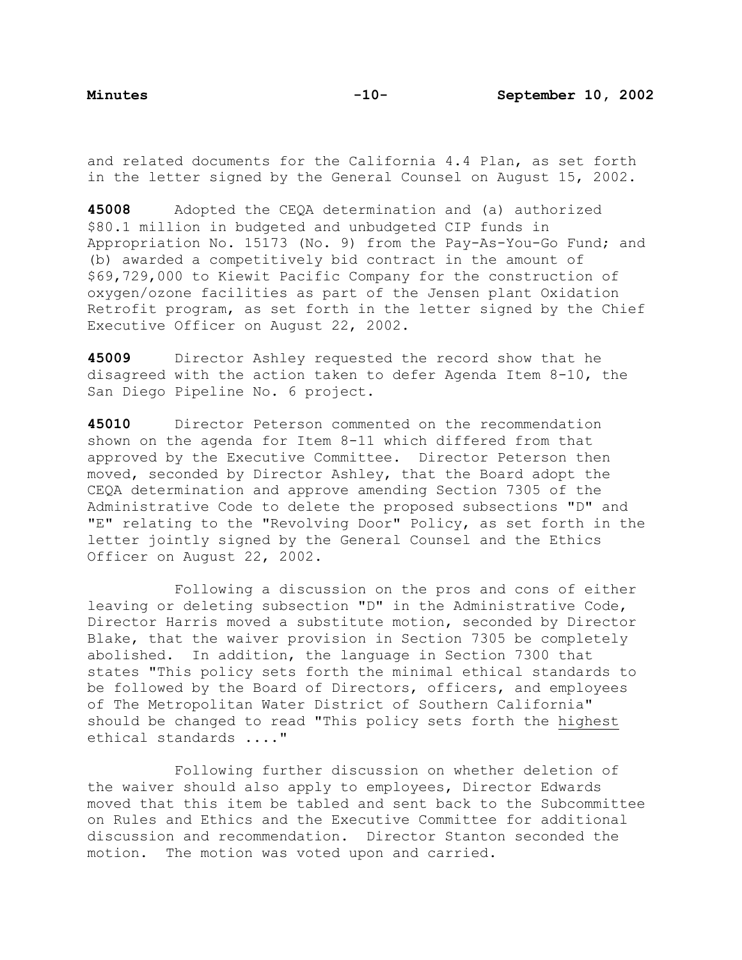and related documents for the California 4.4 Plan, as set forth in the letter signed by the General Counsel on August 15, 2002.

**45008** Adopted the CEQA determination and (a) authorized \$80.1 million in budgeted and unbudgeted CIP funds in Appropriation No. 15173 (No. 9) from the Pay-As-You-Go Fund; and (b) awarded a competitively bid contract in the amount of \$69,729,000 to Kiewit Pacific Company for the construction of oxygen/ozone facilities as part of the Jensen plant Oxidation Retrofit program, as set forth in the letter signed by the Chief Executive Officer on August 22, 2002.

**45009** Director Ashley requested the record show that he disagreed with the action taken to defer Agenda Item 8-10, the San Diego Pipeline No. 6 project.

**45010** Director Peterson commented on the recommendation shown on the agenda for Item 8-11 which differed from that approved by the Executive Committee. Director Peterson then moved, seconded by Director Ashley, that the Board adopt the CEQA determination and approve amending Section 7305 of the Administrative Code to delete the proposed subsections "D" and "E" relating to the "Revolving Door" Policy, as set forth in the letter jointly signed by the General Counsel and the Ethics Officer on August 22, 2002.

 Following a discussion on the pros and cons of either leaving or deleting subsection "D" in the Administrative Code, Director Harris moved a substitute motion, seconded by Director Blake, that the waiver provision in Section 7305 be completely abolished. In addition, the language in Section 7300 that states "This policy sets forth the minimal ethical standards to be followed by the Board of Directors, officers, and employees of The Metropolitan Water District of Southern California" should be changed to read "This policy sets forth the highest ethical standards ...."

 Following further discussion on whether deletion of the waiver should also apply to employees, Director Edwards moved that this item be tabled and sent back to the Subcommittee on Rules and Ethics and the Executive Committee for additional discussion and recommendation. Director Stanton seconded the motion. The motion was voted upon and carried.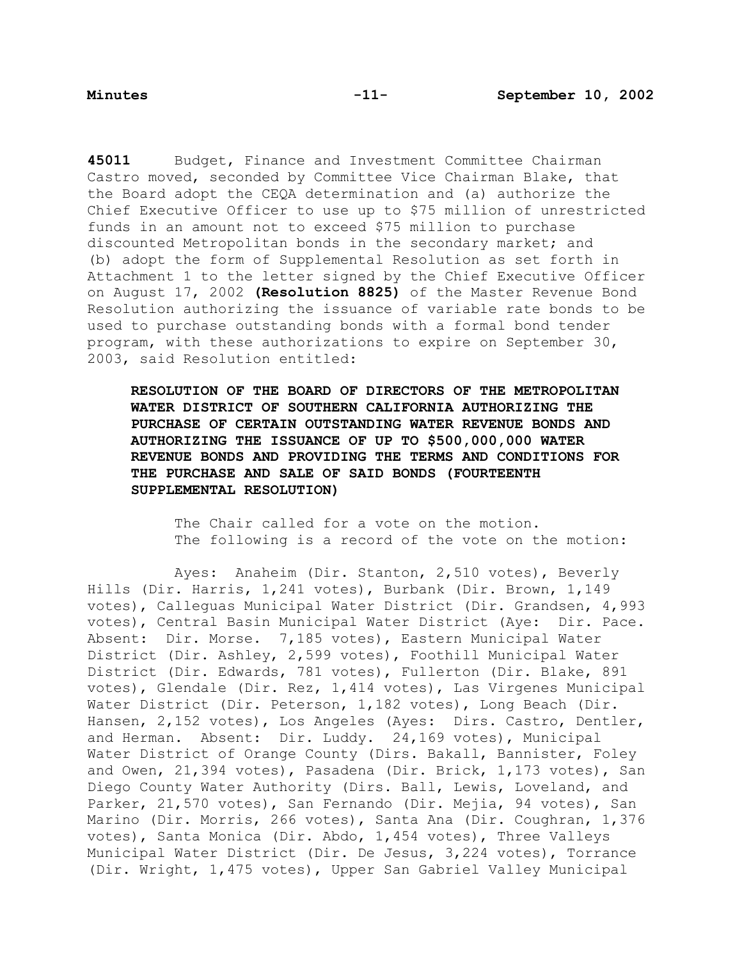**45011** Budget, Finance and Investment Committee Chairman Castro moved, seconded by Committee Vice Chairman Blake, that the Board adopt the CEQA determination and (a) authorize the Chief Executive Officer to use up to \$75 million of unrestricted funds in an amount not to exceed \$75 million to purchase discounted Metropolitan bonds in the secondary market; and (b) adopt the form of Supplemental Resolution as set forth in Attachment 1 to the letter signed by the Chief Executive Officer on August 17, 2002 **(Resolution 8825)** of the Master Revenue Bond Resolution authorizing the issuance of variable rate bonds to be used to purchase outstanding bonds with a formal bond tender program, with these authorizations to expire on September 30, 2003, said Resolution entitled:

**RESOLUTION OF THE BOARD OF DIRECTORS OF THE METROPOLITAN WATER DISTRICT OF SOUTHERN CALIFORNIA AUTHORIZING THE PURCHASE OF CERTAIN OUTSTANDING WATER REVENUE BONDS AND AUTHORIZING THE ISSUANCE OF UP TO \$500,000,000 WATER REVENUE BONDS AND PROVIDING THE TERMS AND CONDITIONS FOR THE PURCHASE AND SALE OF SAID BONDS (FOURTEENTH SUPPLEMENTAL RESOLUTION)**

The Chair called for a vote on the motion. The following is a record of the vote on the motion:

 Ayes: Anaheim (Dir. Stanton, 2,510 votes), Beverly Hills (Dir. Harris, 1,241 votes), Burbank (Dir. Brown, 1,149 votes), Calleguas Municipal Water District (Dir. Grandsen, 4,993 votes), Central Basin Municipal Water District (Aye: Dir. Pace. Absent: Dir. Morse. 7,185 votes), Eastern Municipal Water District (Dir. Ashley, 2,599 votes), Foothill Municipal Water District (Dir. Edwards, 781 votes), Fullerton (Dir. Blake, 891 votes), Glendale (Dir. Rez, 1,414 votes), Las Virgenes Municipal Water District (Dir. Peterson, 1,182 votes), Long Beach (Dir. Hansen, 2,152 votes), Los Angeles (Ayes: Dirs. Castro, Dentler, and Herman. Absent: Dir. Luddy. 24,169 votes), Municipal Water District of Orange County (Dirs. Bakall, Bannister, Foley and Owen, 21,394 votes), Pasadena (Dir. Brick, 1,173 votes), San Diego County Water Authority (Dirs. Ball, Lewis, Loveland, and Parker, 21,570 votes), San Fernando (Dir. Mejia, 94 votes), San Marino (Dir. Morris, 266 votes), Santa Ana (Dir. Coughran, 1,376 votes), Santa Monica (Dir. Abdo, 1,454 votes), Three Valleys Municipal Water District (Dir. De Jesus, 3,224 votes), Torrance (Dir. Wright, 1,475 votes), Upper San Gabriel Valley Municipal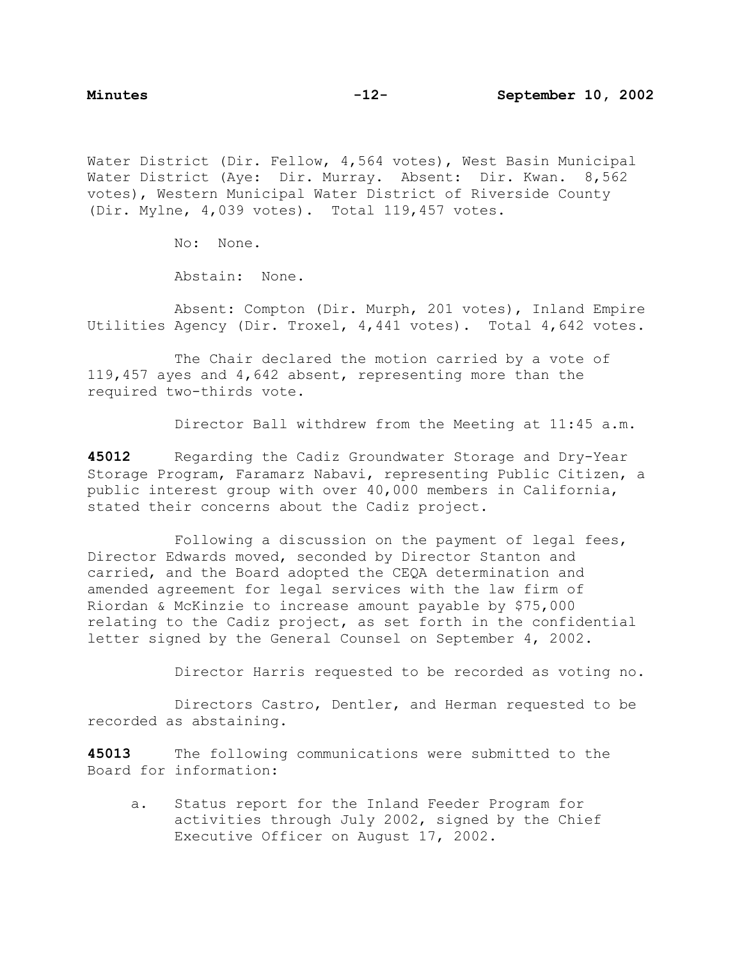Water District (Dir. Fellow, 4,564 votes), West Basin Municipal Water District (Aye: Dir. Murray. Absent: Dir. Kwan. 8,562 votes), Western Municipal Water District of Riverside County (Dir. Mylne, 4,039 votes). Total 119,457 votes.

No: None.

Abstain: None.

 Absent: Compton (Dir. Murph, 201 votes), Inland Empire Utilities Agency (Dir. Troxel, 4,441 votes). Total 4,642 votes.

The Chair declared the motion carried by a vote of 119,457 ayes and 4,642 absent, representing more than the required two-thirds vote.

Director Ball withdrew from the Meeting at 11:45 a.m.

**45012** Regarding the Cadiz Groundwater Storage and Dry-Year Storage Program, Faramarz Nabavi, representing Public Citizen, a public interest group with over 40,000 members in California, stated their concerns about the Cadiz project.

 Following a discussion on the payment of legal fees, Director Edwards moved, seconded by Director Stanton and carried, and the Board adopted the CEQA determination and amended agreement for legal services with the law firm of Riordan & McKinzie to increase amount payable by \$75,000 relating to the Cadiz project, as set forth in the confidential letter signed by the General Counsel on September 4, 2002.

Director Harris requested to be recorded as voting no.

 Directors Castro, Dentler, and Herman requested to be recorded as abstaining.

**45013** The following communications were submitted to the Board for information:

a. Status report for the Inland Feeder Program for activities through July 2002, signed by the Chief Executive Officer on August 17, 2002.